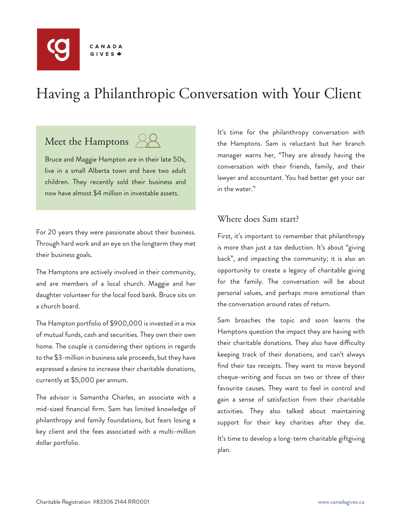

# Having a Philanthropic Conversation with Your Client

## Meet the Hamptons 22

Bruce and Maggie Hampton are in their late 50s, live in a small Alberta town and have two adult children. They recently sold their business and now have almost \$4 million in investable assets.

For 20 years they were passionate about their business. Through hard work and an eye on the longterm they met their business goals.

The Hamptons are actively involved in their community, and are members of a local church. Maggie and her daughter volunteer for the local food bank. Bruce sits on a church board.

The Hampton portfolio of \$900,000 is invested in a mix of mutual funds, cash and securities. They own their own home. The couple is considering their options in regards to the \$3-million in business sale proceeds, but they have expressed a desire to increase their charitable donations, currently at \$5,000 per annum.

The advisor is Samantha Charles, an associate with a mid-sized financial firm. Sam has limited knowledge of philanthropy and family foundations, but fears losing a key client and the fees associated with a multi-million dollar portfolio.

It's time for the philanthropy conversation with the Hamptons. Sam is reluctant but her branch manager warns her, "They are already having the conversation with their friends, family, and their lawyer and accountant. You had better get your oar in the water."

#### Where does Sam start?

First, it's important to remember that philanthropy is more than just a tax deduction. It's about "giving back", and impacting the community; it is also an opportunity to create a legacy of charitable giving for the family. The conversation will be about personal values, and perhaps more emotional than the conversation around rates of return.

Sam broaches the topic and soon learns the Hamptons question the impact they are having with their charitable donations. They also have difficulty keeping track of their donations, and can't always find their tax receipts. They want to move beyond cheque-writing and focus on two or three of their favourite causes. They want to feel in control and gain a sense of satisfaction from their charitable activities. They also talked about maintaining support for their key charities after they die.

It's time to develop a long-term charitable giftgiving plan.